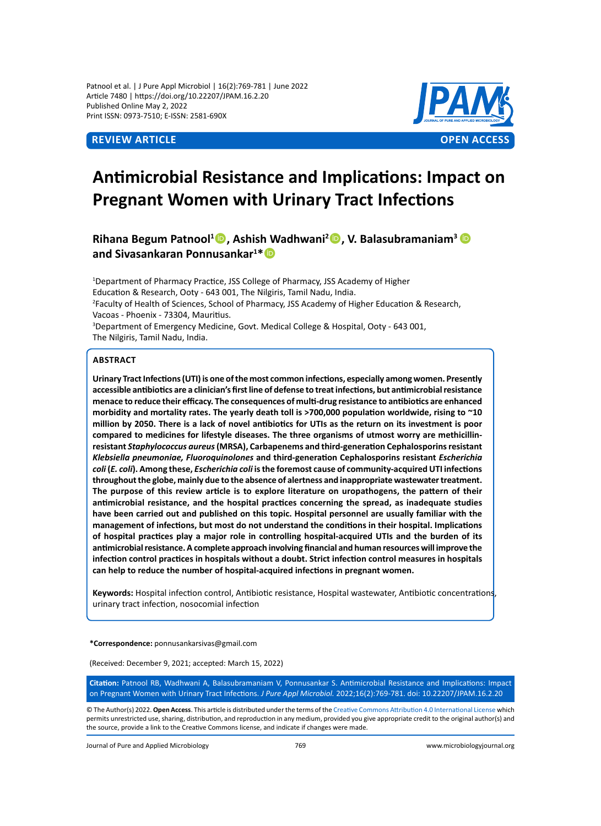Patnool et al. | J Pure Appl Microbiol | 16(2):769-781 | June 2022 Article 7480 | https://doi.org/10.22207/JPAM.16.2.20 Published Online May 2, 2022 Print ISSN: 0973-7510; E-ISSN: 2581-690X



# **Antimicrobial Resistance and Implications: Impact on Pregnant Women with Urinary Tract Infections**

**Rihana Begum Patnool<sup>1</sup> , Ashish Wadhwani<sup>2</sup> , V. Balasubramaniam<sup>3</sup> and Sivasankaran Ponnusankar<sup>1</sup> \***

<sup>1</sup>Department of Pharmacy Practice, JSS College of Pharmacy, JSS Academy of Higher Education & Research, Ooty - 643 001, The Nilgiris, Tamil Nadu, India. 2 Faculty of Health of Sciences, School of Pharmacy, JSS Academy of Higher Education & Research, Vacoas - Phoenix - 73304, Mauritius. <sup>3</sup>Department of Emergency Medicine, Govt. Medical College & Hospital, Ooty - 643 001, The Nilgiris, Tamil Nadu, India.

## **Abstract**

**Urinary Tract Infections (UTI) is one of the most common infections, especially among women. Presently accessible antibiotics are a clinician's first line of defense to treat infections, but antimicrobial resistance menace to reduce their efficacy. The consequences of multi-drug resistance to antibiotics are enhanced morbidity and mortality rates. The yearly death toll is >700,000 population worldwide, rising to ~10 million by 2050. There is a lack of novel antibiotics for UTIs as the return on its investment is poor compared to medicines for lifestyle diseases. The three organisms of utmost worry are methicillinresistant** *Staphylococcus aureus* **(MRSA), Carbapenems and third-generation Cephalosporins resistant**  *Klebsiella pneumoniae, Fluoroquinolones* **and third-generation Cephalosporins resistant** *Escherichia coli* **(***E. coli***). Among these,** *Escherichia coli* **is the foremost cause of community-acquired UTI infections throughout the globe, mainly due to the absence of alertness and inappropriate wastewater treatment. The purpose of this review article is to explore literature on uropathogens, the pattern of their antimicrobial resistance, and the hospital practices concerning the spread, as inadequate studies have been carried out and published on this topic. Hospital personnel are usually familiar with the management of infections, but most do not understand the conditions in their hospital. Implications of hospital practices play a major role in controlling hospital-acquired UTIs and the burden of its antimicrobial resistance. A complete approach involving financial and human resources will improve the infection control practices in hospitals without a doubt. Strict infection control measures in hospitals can help to reduce the number of hospital-acquired infections in pregnant women.**

**Keywords:** Hospital infection control, Antibiotic resistance, Hospital wastewater, Antibiotic concentrations, urinary tract infection, nosocomial infection

**\*Correspondence:** ponnusankarsivas@gmail.com

(Received: December 9, 2021; accepted: March 15, 2022)

**Citation:** Patnool RB, Wadhwani A, Balasubramaniam V, Ponnusankar S. Antimicrobial Resistance and Implications: Impact on Pregnant Women with Urinary Tract Infections. *J Pure Appl Microbiol.* 2022;16(2):769-781. doi: 10.22207/JPAM.16.2.20

© The Author(s) 2022. **Open Access**. This article is distributed under the terms of the [Creative Commons Attribution 4.0 International License](https://creativecommons.org/licenses/by/4.0/) which permits unrestricted use, sharing, distribution, and reproduction in any medium, provided you give appropriate credit to the original author(s) and the source, provide a link to the Creative Commons license, and indicate if changes were made.

Journal of Pure and Applied Microbiology 769 www.microbiologyjournal.org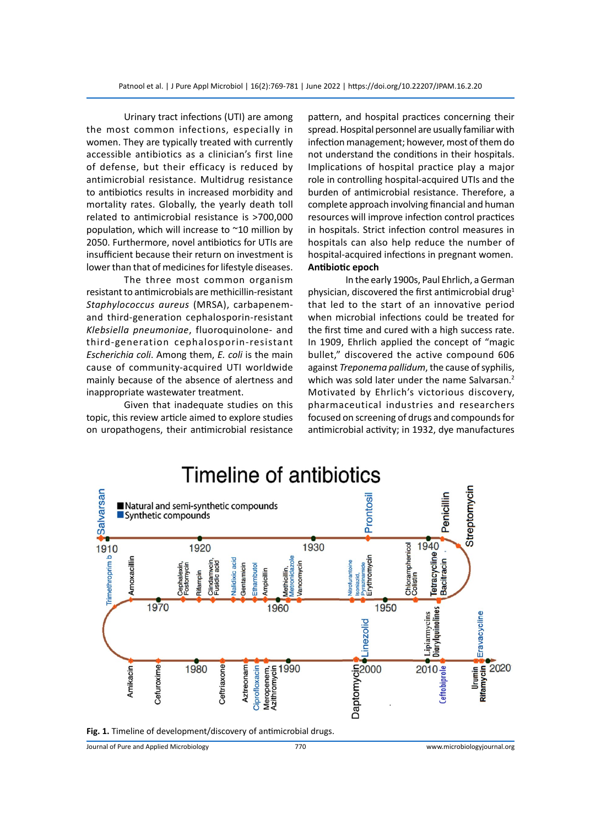Urinary tract infections (UTI) are among the most common infections, especially in women. They are typically treated with currently accessible antibiotics as a clinician's first line of defense, but their efficacy is reduced by antimicrobial resistance. Multidrug resistance to antibiotics results in increased morbidity and mortality rates. Globally, the yearly death toll related to antimicrobial resistance is >700,000 population, which will increase to ~10 million by 2050. Furthermore, novel antibiotics for UTIs are insufficient because their return on investment is lower than that of medicines for lifestyle diseases.

The three most common organism resistant to antimicrobials are methicillin-resistant *Staphylococcus aureus* (MRSA), carbapenemand third-generation cephalosporin-resistant *Klebsiella pneumoniae*, fluoroquinolone- and third-generation cephalosporin-resistant *Escherichia coli*. Among them, *E. coli* is the main cause of community-acquired UTI worldwide mainly because of the absence of alertness and inappropriate wastewater treatment.

Given that inadequate studies on this topic, this review article aimed to explore studies on uropathogens, their antimicrobial resistance pattern, and hospital practices concerning their spread. Hospital personnel are usually familiar with infection management; however, most of them do not understand the conditions in their hospitals. Implications of hospital practice play a major role in controlling hospital-acquired UTIs and the burden of antimicrobial resistance. Therefore, a complete approach involving financial and human resources will improve infection control practices in hospitals. Strict infection control measures in hospitals can also help reduce the number of hospital-acquired infections in pregnant women. **Antibiotic epoch**

In the early 1900s, Paul Ehrlich, a German physician, discovered the first antimicrobial drug<sup>1</sup> that led to the start of an innovative period when microbial infections could be treated for the first time and cured with a high success rate. In 1909, Ehrlich applied the concept of "magic bullet," discovered the active compound 606 against *Treponema pallidum*, the cause of syphilis, which was sold later under the name Salvarsan.<sup>2</sup> Motivated by Ehrlich's victorious discovery, pharmaceutical industries and researchers focused on screening of drugs and compounds for antimicrobial activity; in 1932, dye manufactures



**Fig. 1.** Timeline of development/discovery of antimicrobial drugs.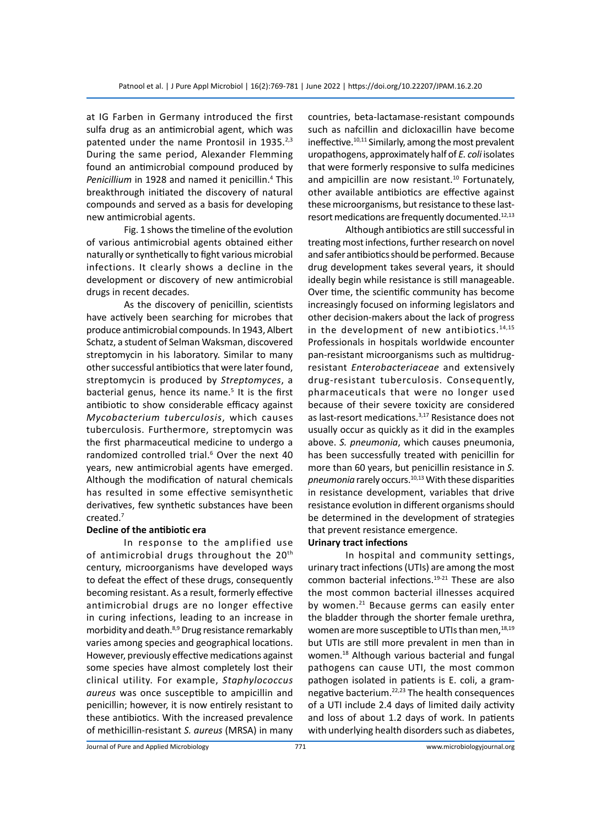at IG Farben in Germany introduced the first sulfa drug as an antimicrobial agent, which was patented under the name Prontosil in 1935.<sup>2,3</sup> During the same period, Alexander Flemming found an antimicrobial compound produced by Penicillium in 1928 and named it penicillin.<sup>4</sup> This breakthrough initiated the discovery of natural compounds and served as a basis for developing new antimicrobial agents.

Fig. 1 shows the timeline of the evolution of various antimicrobial agents obtained either naturally or synthetically to fight various microbial infections. It clearly shows a decline in the development or discovery of new antimicrobial drugs in recent decades.

As the discovery of penicillin, scientists have actively been searching for microbes that produce antimicrobial compounds. In 1943, Albert Schatz, a student of Selman Waksman, discovered streptomycin in his laboratory. Similar to many other successful antibiotics that were later found, streptomycin is produced by *Streptomyces*, a bacterial genus, hence its name.<sup>5</sup> It is the first antibiotic to show considerable efficacy against *Mycobacterium tuberculosis*, which causes tuberculosis. Furthermore, streptomycin was the first pharmaceutical medicine to undergo a randomized controlled trial.<sup>6</sup> Over the next 40 years, new antimicrobial agents have emerged. Although the modification of natural chemicals has resulted in some effective semisynthetic derivatives, few synthetic substances have been created.7

# **Decline of the antibiotic era**

In response to the amplified use of antimicrobial drugs throughout the 20<sup>th</sup> century, microorganisms have developed ways to defeat the effect of these drugs, consequently becoming resistant. As a result, formerly effective antimicrobial drugs are no longer effective in curing infections, leading to an increase in morbidity and death.<sup>8,9</sup> Drug resistance remarkably varies among species and geographical locations. However, previously effective medications against some species have almost completely lost their clinical utility. For example, *Staphylococcus aureus* was once susceptible to ampicillin and penicillin; however, it is now entirely resistant to these antibiotics. With the increased prevalence of methicillin-resistant *S. aureus* (MRSA) in many countries, beta-lactamase-resistant compounds such as nafcillin and dicloxacillin have become ineffective.<sup>10,11</sup> Similarly, among the most prevalent uropathogens, approximately half of *E. coli* isolates that were formerly responsive to sulfa medicines and ampicillin are now resistant.<sup>10</sup> Fortunately, other available antibiotics are effective against these microorganisms, but resistance to these lastresort medications are frequently documented.12,13

Although antibiotics are still successful in treating most infections, further research on novel and safer antibiotics should be performed. Because drug development takes several years, it should ideally begin while resistance is still manageable. Over time, the scientific community has become increasingly focused on informing legislators and other decision-makers about the lack of progress in the development of new antibiotics. $14,15$ Professionals in hospitals worldwide encounter pan-resistant microorganisms such as multidrugresistant *Enterobacteriaceae* and extensively drug-resistant tuberculosis. Consequently, pharmaceuticals that were no longer used because of their severe toxicity are considered as last-resort medications.<sup>3,17</sup> Resistance does not usually occur as quickly as it did in the examples above. *S. pneumonia*, which causes pneumonia, has been successfully treated with penicillin for more than 60 years, but penicillin resistance in *S. pneumonia* rarely occurs.10,13 With these disparities in resistance development, variables that drive resistance evolution in different organisms should be determined in the development of strategies that prevent resistance emergence.

### **Urinary tract infections**

In hospital and community settings, urinary tract infections (UTIs) are among the most common bacterial infections.19-21 These are also the most common bacterial illnesses acquired by women. $21$  Because germs can easily enter the bladder through the shorter female urethra, women are more susceptible to UTIs than men, $^{18,19}$ but UTIs are still more prevalent in men than in women.18 Although various bacterial and fungal pathogens can cause UTI, the most common pathogen isolated in patients is E. coli, a gramnegative bacterium.22,23 The health consequences of a UTI include 2.4 days of limited daily activity and loss of about 1.2 days of work. In patients with underlying health disorders such as diabetes,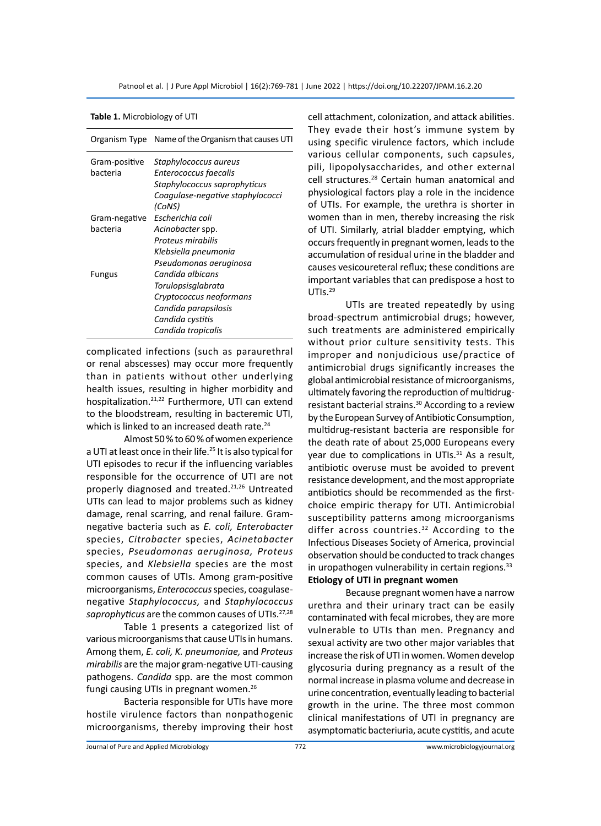|               | Organism Type Name of the Organism that causes UTI |
|---------------|----------------------------------------------------|
| Gram-positive | Staphylococcus aureus                              |
| hacteria      | Enterococcus faecalis                              |
|               | Staphylococcus saprophyticus                       |
|               | Coagulase-negative staphylococci                   |
|               | (CoNS)                                             |
| Gram-negative | Escherichia coli                                   |
| hacteria      | Acinobacter spp.                                   |
|               | Proteus mirabilis                                  |
|               | Klebsiella pneumonia                               |
|               | Pseudomonas aeruginosa                             |
| <b>Fungus</b> | Candida albicans                                   |
|               | Torulopsisqlabrata                                 |
|               | Cryptococcus neoformans                            |
|               | Candida parapsilosis                               |
|               | Candida cystitis                                   |
|               | Candida tropicalis                                 |
|               |                                                    |

**Table 1.** Microbiology of UTI

complicated infections (such as paraurethral or renal abscesses) may occur more frequently than in patients without other underlying health issues, resulting in higher morbidity and hospitalization.<sup>21,22</sup> Furthermore, UTI can extend to the bloodstream, resulting in bacteremic UTI, which is linked to an increased death rate.<sup>24</sup>

Almost 50 % to 60 % of women experience a UTI at least once in their life.<sup>25</sup> It is also typical for UTI episodes to recur if the influencing variables responsible for the occurrence of UTI are not properly diagnosed and treated.<sup>21,26</sup> Untreated UTIs can lead to major problems such as kidney damage, renal scarring, and renal failure. Gramnegative bacteria such as *E. coli, Enterobacter* species, *Citrobacter* species, *Acinetobacter*  species, *Pseudomonas aeruginosa, Proteus*  species, and *Klebsiella* species are the most common causes of UTIs. Among gram-positive microorganisms, *Enterococcus* species, coagulasenegative *Staphylococcus,* and *Staphylococcus*  saprophyticus are the common causes of UTIs.<sup>27,28</sup>

Table 1 presents a categorized list of various microorganisms that cause UTIs in humans. Among them, *E. coli, K. pneumoniae,* and *Proteus mirabilis* are the major gram-negative UTI-causing pathogens. *Candida* spp. are the most common fungi causing UTIs in pregnant women.<sup>26</sup>

Bacteria responsible for UTIs have more hostile virulence factors than nonpathogenic microorganisms, thereby improving their host cell attachment, colonization, and attack abilities. They evade their host's immune system by using specific virulence factors, which include various cellular components, such capsules, pili, lipopolysaccharides, and other external cell structures.28 Certain human anatomical and physiological factors play a role in the incidence of UTIs. For example, the urethra is shorter in women than in men, thereby increasing the risk of UTI. Similarly, atrial bladder emptying, which occurs frequently in pregnant women, leads to the accumulation of residual urine in the bladder and causes vesicoureteral reflux; these conditions are important variables that can predispose a host to UTIs.<sup>29</sup>

UTIs are treated repeatedly by using broad-spectrum antimicrobial drugs; however, such treatments are administered empirically without prior culture sensitivity tests. This improper and nonjudicious use/practice of antimicrobial drugs significantly increases the global antimicrobial resistance of microorganisms, ultimately favoring the reproduction of multidrugresistant bacterial strains.<sup>30</sup> According to a review by the European Survey of Antibiotic Consumption, multidrug-resistant bacteria are responsible for the death rate of about 25,000 Europeans every year due to complications in UTIs.<sup>31</sup> As a result, antibiotic overuse must be avoided to prevent resistance development, and the most appropriate antibiotics should be recommended as the firstchoice empiric therapy for UTI. Antimicrobial susceptibility patterns among microorganisms differ across countries.<sup>32</sup> According to the Infectious Diseases Society of America, provincial observation should be conducted to track changes in uropathogen vulnerability in certain regions.<sup>33</sup> **Etiology of UTI in pregnant women**

Because pregnant women have a narrow urethra and their urinary tract can be easily contaminated with fecal microbes, they are more vulnerable to UTIs than men. Pregnancy and sexual activity are two other major variables that increase the risk of UTI in women. Women develop glycosuria during pregnancy as a result of the normal increase in plasma volume and decrease in urine concentration, eventually leading to bacterial growth in the urine. The three most common clinical manifestations of UTI in pregnancy are asymptomatic bacteriuria, acute cystitis, and acute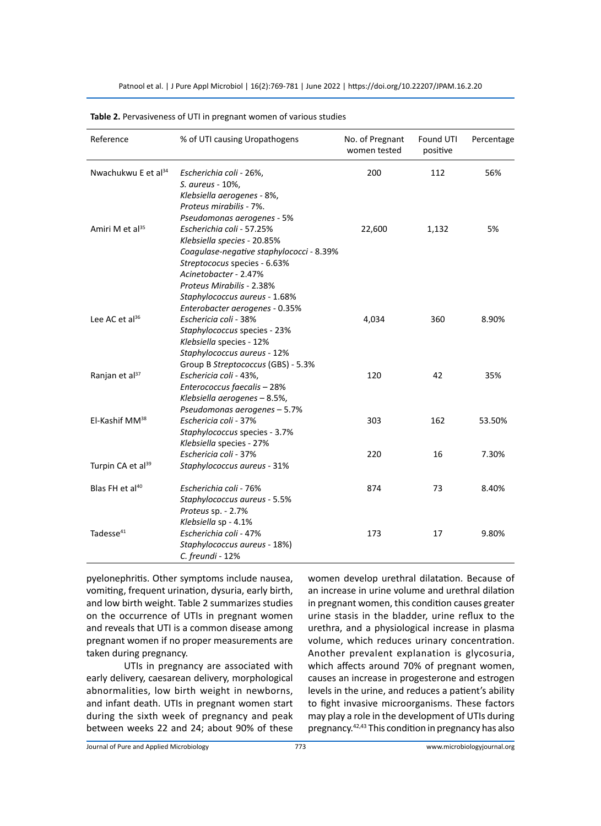Patnool et al. | J Pure Appl Microbiol | 16(2):769-781 | June 2022 | https://doi.org/10.22207/JPAM.16.2.20

| Reference                       | % of UTI causing Uropathogens                                                                                                                                                                                    | No. of Pregnant<br>women tested | Found UTI<br>positive | Percentage |
|---------------------------------|------------------------------------------------------------------------------------------------------------------------------------------------------------------------------------------------------------------|---------------------------------|-----------------------|------------|
| Nwachukwu E et al <sup>34</sup> | Escherichia coli - 26%,<br>S. aureus - 10%,<br>Klebsiella aerogenes - 8%,<br>Proteus mirabilis - 7%.                                                                                                             | 200                             | 112                   | 56%        |
| Amiri M et al <sup>35</sup>     | Pseudomonas aerogenes - 5%<br>Escherichia coli - 57.25%<br>Klebsiella species - 20.85%<br>Coagulase-negative staphylococci - 8.39%<br>Streptococus species - 6.63%<br>Acinetobacter - 2.47%                      | 22,600                          | 1,132                 | 5%         |
| Lee AC et $al^{36}$             | Proteus Mirabilis - 2.38%<br>Staphylococcus aureus - 1.68%<br>Enterobacter aerogenes - 0.35%<br>Eschericia coli - 38%<br>Staphylococcus species - 23%<br>Klebsiella species - 12%<br>Staphylococcus aureus - 12% | 4,034                           | 360                   | 8.90%      |
| Ranjan et al <sup>37</sup>      | Group B Streptococcus (GBS) - 5.3%<br>Eschericia coli - 43%,<br>Enterococcus faecalis - 28%<br>Klebsiella aerogenes - 8.5%,                                                                                      | 120                             | 42                    | 35%        |
| El-Kashif MM <sup>38</sup>      | Pseudomonas aerogenes - 5.7%<br>Eschericia coli - 37%<br>Staphylococcus species - 3.7%<br>Klebsiella species - 27%                                                                                               | 303                             | 162                   | 53.50%     |
| Turpin CA et al <sup>39</sup>   | Eschericia coli - 37%<br>Staphylococcus aureus - 31%                                                                                                                                                             | 220                             | 16                    | 7.30%      |
| Blas FH et al <sup>40</sup>     | Escherichia coli - 76%<br>Staphylococcus aureus - 5.5%<br>Proteus sp. - 2.7%                                                                                                                                     | 874                             | 73                    | 8.40%      |
| Tadesse <sup>41</sup>           | Klebsiella sp - 4.1%<br>Escherichia coli - 47%<br>Staphylococcus aureus - 18%)<br>C. freundi - 12%                                                                                                               | 173                             | 17                    | 9.80%      |

#### **Table 2.** Pervasiveness of UTI in pregnant women of various studies

pyelonephritis. Other symptoms include nausea, vomiting, frequent urination, dysuria, early birth, and low birth weight. Table 2 summarizes studies on the occurrence of UTIs in pregnant women and reveals that UTI is a common disease among pregnant women if no proper measurements are taken during pregnancy.

UTIs in pregnancy are associated with early delivery, caesarean delivery, morphological abnormalities, low birth weight in newborns, and infant death. UTIs in pregnant women start during the sixth week of pregnancy and peak between weeks 22 and 24; about 90% of these women develop urethral dilatation. Because of an increase in urine volume and urethral dilation in pregnant women, this condition causes greater urine stasis in the bladder, urine reflux to the urethra, and a physiological increase in plasma volume, which reduces urinary concentration. Another prevalent explanation is glycosuria, which affects around 70% of pregnant women, causes an increase in progesterone and estrogen levels in the urine, and reduces a patient's ability to fight invasive microorganisms. These factors may play a role in the development of UTIs during pregnancy.42,43 This condition in pregnancy has also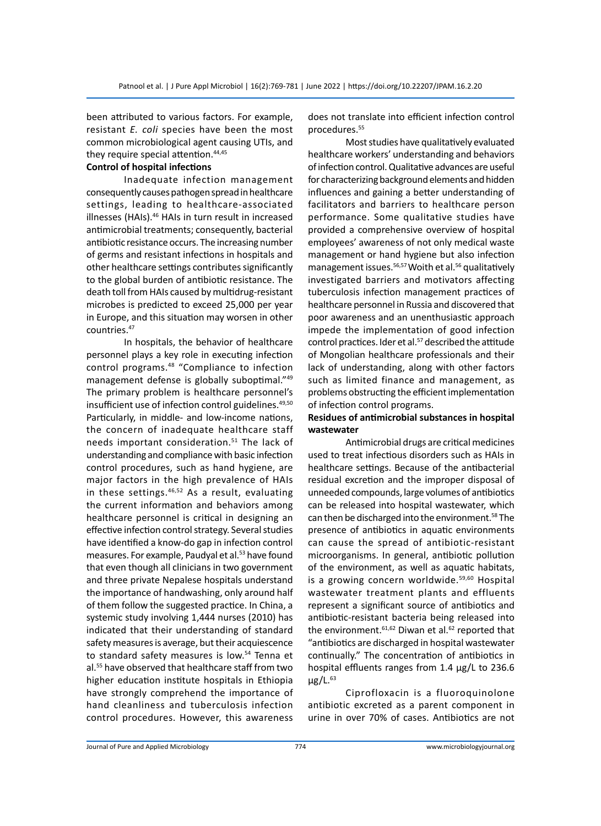been attributed to various factors. For example, resistant *E. coli* species have been the most common microbiological agent causing UTIs, and they require special attention.<sup>44,45</sup>

# **Control of hospital infections**

Inadequate infection management consequently causes pathogen spread in healthcare settings, leading to healthcare-associated illnesses (HAIs).<sup>46</sup> HAIs in turn result in increased antimicrobial treatments; consequently, bacterial antibiotic resistance occurs. The increasing number of germs and resistant infections in hospitals and other healthcare settings contributes significantly to the global burden of antibiotic resistance. The death toll from HAIs caused by multidrug-resistant microbes is predicted to exceed 25,000 per year in Europe, and this situation may worsen in other countries.<sup>47</sup>

In hospitals, the behavior of healthcare personnel plays a key role in executing infection control programs.48 "Compliance to infection management defense is globally suboptimal."49 The primary problem is healthcare personnel's insufficient use of infection control guidelines.<sup>49,50</sup> Particularly, in middle- and low-income nations, the concern of inadequate healthcare staff needs important consideration.<sup>51</sup> The lack of understanding and compliance with basic infection control procedures, such as hand hygiene, are major factors in the high prevalence of HAIs in these settings. $46,52$  As a result, evaluating the current information and behaviors among healthcare personnel is critical in designing an effective infection control strategy. Several studies have identified a know-do gap in infection control measures. For example, Paudyal et al.<sup>53</sup> have found that even though all clinicians in two government and three private Nepalese hospitals understand the importance of handwashing, only around half of them follow the suggested practice. In China, a systemic study involving 1,444 nurses (2010) has indicated that their understanding of standard safety measures is average, but their acquiescence to standard safety measures is low.<sup>54</sup> Tenna et al.55 have observed that healthcare staff from two higher education institute hospitals in Ethiopia have strongly comprehend the importance of hand cleanliness and tuberculosis infection control procedures. However, this awareness does not translate into efficient infection control procedures.55

Most studies have qualitatively evaluated healthcare workers' understanding and behaviors of infection control. Qualitative advances are useful for characterizing background elements and hidden influences and gaining a better understanding of facilitators and barriers to healthcare person performance. Some qualitative studies have provided a comprehensive overview of hospital employees' awareness of not only medical waste management or hand hygiene but also infection management issues.<sup>56,57</sup> Woith et al.<sup>56</sup> qualitatively investigated barriers and motivators affecting tuberculosis infection management practices of healthcare personnel in Russia and discovered that poor awareness and an unenthusiastic approach impede the implementation of good infection control practices. Ider et al.<sup>57</sup> described the attitude of Mongolian healthcare professionals and their lack of understanding, along with other factors such as limited finance and management, as problems obstructing the efficient implementation of infection control programs.

# **Residues of antimicrobial substances in hospital wastewater**

Antimicrobial drugs are critical medicines used to treat infectious disorders such as HAIs in healthcare settings. Because of the antibacterial residual excretion and the improper disposal of unneeded compounds, large volumes of antibiotics can be released into hospital wastewater, which can then be discharged into the environment.<sup>58</sup> The presence of antibiotics in aquatic environments can cause the spread of antibiotic-resistant microorganisms. In general, antibiotic pollution of the environment, as well as aquatic habitats, is a growing concern worldwide.<sup>59,60</sup> Hospital wastewater treatment plants and effluents represent a significant source of antibiotics and antibiotic-resistant bacteria being released into the environment.  $61,62$  Diwan et al.  $62$  reported that "antibiotics are discharged in hospital wastewater continually." The concentration of antibiotics in hospital effluents ranges from 1.4 µg/L to 236.6  $\mu$ g/L.<sup>63</sup>

Ciprofloxacin is a fluoroquinolone antibiotic excreted as a parent component in urine in over 70% of cases. Antibiotics are not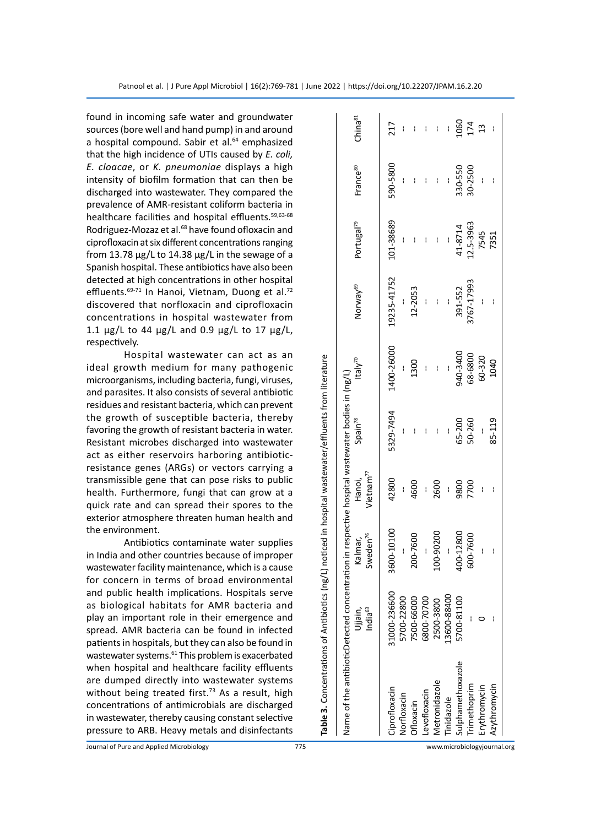found in incoming safe water and groundwater sources (bore well and hand pump) in and around a hospital compound. Sabir et al.<sup>64</sup> emphasized that the high incidence of UTIs caused by *E. coli, E. cloacae*, or *K. pneumoniae* displays a high intensity of biofilm formation that can then be discharged into wastewater. They compared the prevalence of AMR-resistant coliform bacteria in healthcare facilities and hospital effluents.<sup>59,63-68</sup> Rodriguez-Mozaz et al.<sup>68</sup> have found ofloxacin and ciprofloxacin at six different concentrations ranging from 13.78  $\mu$ g/L to 14.38  $\mu$ g/L in the sewage of a Spanish hospital. These antibiotics have also been detected at high concentrations in other hospital effluents.<sup>69-71</sup> In Hanoi, Vietnam, Duong et al.<sup>72</sup> discovered that norfloxacin and ciprofloxacin concentrations in hospital wastewater from 1.1  $\mu$ g/L to 44  $\mu$ g/L and 0.9  $\mu$ g/L to 17  $\mu$ g/L, respectively.

Hospital wastewater can act as an ideal growth medium for many pathogenic microorganisms, including bacteria, fungi, viruses, and parasites. It also consists of several antibiotic residues and resistant bacteria, which can prevent the growth of susceptible bacteria, thereby favoring the growth of resistant bacteria in water. Resistant microbes discharged into wastewater act as either reservoirs harboring antibioticresistance genes (ARGs) or vectors carrying a transmissible gene that can pose risks to public health. Furthermore, fungi that can grow at a quick rate and can spread their spores to the exterior atmosphere threaten human health and the environment.

Antibiotics contaminate water supplies in India and other countries because of improper wastewater facility maintenance, which is a cause for concern in terms of broad environmental and public health implications. Hospitals serve as biological habitats for AMR bacteria and play an important role in their emergence and spread. AMR bacteria can be found in infected patients in hospitals, but they can also be found in wastewater systems.<sup>61</sup> This problem is exacerbated when hospital and healthcare facility effluents are dumped directly into wastewater systems without being treated first.<sup>73</sup> As a result, high concentrations of antimicrobials are discharged in wastewater, thereby causing constant selective pressure to ARB. Heavy metals and disinfectants

| vame of the antibioticDetected concentration |                     |                      |                 | on in respective hospital wastewater bodies in (ng/L) |                     |                      |                        |                      |                     |
|----------------------------------------------|---------------------|----------------------|-----------------|-------------------------------------------------------|---------------------|----------------------|------------------------|----------------------|---------------------|
|                                              | Ujjain,             | Kalmar,              | Hanoi,          | Spain <sup>78</sup>                                   | ltaly <sup>70</sup> | Norway <sup>69</sup> | Portugal <sup>79</sup> | France <sup>80</sup> | China <sup>81</sup> |
|                                              | India <sup>63</sup> | Sweden <sup>76</sup> | Vietnam $^{77}$ |                                                       |                     |                      |                        |                      |                     |
| iprofloxacin                                 | 31000-236600        | 600-10100<br>m       | 42800           | 5329-7494                                             | 1400-26000          | 19235-41752          | 101-38689              | 590-5800             | 217                 |
| <b>Jorfloxacin</b>                           | 700-22800           |                      |                 |                                                       |                     |                      |                        |                      |                     |
| Ofloxacin                                    | 7500-66000          | 200-7600             | 4600            |                                                       | 1300                | 12-2053              |                        |                      | ł                   |
| evofloxacin                                  | 6800-70700          |                      | I               |                                                       |                     |                      |                        | I                    | I                   |
| <b>Aetronidazole</b>                         | 2500-3800           | 100-90200            | 2600            | I                                                     |                     | ł                    |                        | I                    |                     |
| inidazole                                    | 3600-88400          |                      |                 |                                                       |                     |                      |                        |                      |                     |
| ulphamethoxazole                             | 5700-81100          | 100-12800            | 9800            | 65-200                                                | 940-3400            | 391-552              | 41-8714                | 330-550              | <b>990</b>          |
| rimethoprim                                  |                     | 600-7600             | 7700            | 50-260                                                | 68-6800             | 1767-17993           | 12.5-3963              | 30-2500              | 174                 |
| rythromycin                                  |                     |                      |                 |                                                       | 60-320              |                      | 7545                   |                      | $\frac{3}{2}$       |
| Azythromycin                                 |                     |                      |                 | 85-119                                                | 1040                |                      | 7351                   |                      |                     |
|                                              |                     |                      |                 |                                                       |                     |                      |                        |                      |                     |

**Table 3.** Concentrations of Antibiotics (ng/L) noticed in hospital wastewater/effluents from literature

Table 3. Concentrations of Antibiotics (ng/L) noticed in hospital wastewater/effluents from literature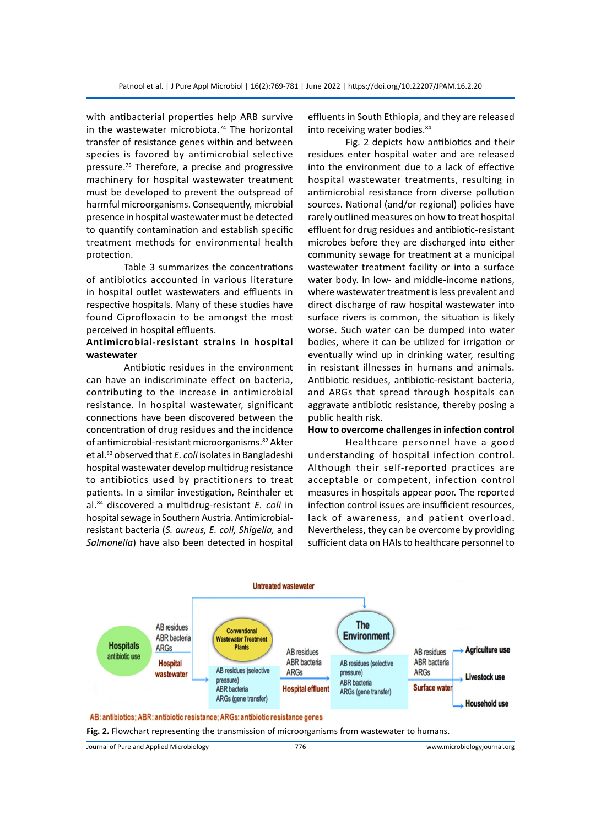with antibacterial properties help ARB survive in the wastewater microbiota.<sup>74</sup> The horizontal transfer of resistance genes within and between species is favored by antimicrobial selective pressure.<sup>75</sup> Therefore, a precise and progressive machinery for hospital wastewater treatment must be developed to prevent the outspread of harmful microorganisms. Consequently, microbial presence in hospital wastewater must be detected to quantify contamination and establish specific treatment methods for environmental health protection.

Table 3 summarizes the concentrations of antibiotics accounted in various literature in hospital outlet wastewaters and effluents in respective hospitals. Many of these studies have found Ciprofloxacin to be amongst the most perceived in hospital effluents.

# **Antimicrobial-resistant strains in hospital wastewater**

Antibiotic residues in the environment can have an indiscriminate effect on bacteria, contributing to the increase in antimicrobial resistance. In hospital wastewater, significant connections have been discovered between the concentration of drug residues and the incidence of antimicrobial-resistant microorganisms.<sup>82</sup> Akter et al.<sup>83</sup> observed that *E. coli* isolates in Bangladeshi hospital wastewater develop multidrug resistance to antibiotics used by practitioners to treat patients. In a similar investigation, Reinthaler et al.84 discovered a multidrug-resistant *E. coli* in hospital sewage in Southern Austria. Antimicrobialresistant bacteria (*S. aureus, E. coli, Shigella,* and *Salmonella*) have also been detected in hospital effluents in South Ethiopia, and they are released into receiving water bodies.<sup>84</sup>

Fig. 2 depicts how antibiotics and their residues enter hospital water and are released into the environment due to a lack of effective hospital wastewater treatments, resulting in antimicrobial resistance from diverse pollution sources. National (and/or regional) policies have rarely outlined measures on how to treat hospital effluent for drug residues and antibiotic-resistant microbes before they are discharged into either community sewage for treatment at a municipal wastewater treatment facility or into a surface water body. In low- and middle-income nations, where wastewater treatment is less prevalent and direct discharge of raw hospital wastewater into surface rivers is common, the situation is likely worse. Such water can be dumped into water bodies, where it can be utilized for irrigation or eventually wind up in drinking water, resulting in resistant illnesses in humans and animals. Antibiotic residues, antibiotic-resistant bacteria, and ARGs that spread through hospitals can aggravate antibiotic resistance, thereby posing a public health risk.

# **How to overcome challenges in infection control**

Healthcare personnel have a good understanding of hospital infection control. Although their self-reported practices are acceptable or competent, infection control measures in hospitals appear poor. The reported infection control issues are insufficient resources, lack of awareness, and patient overload. Nevertheless, they can be overcome by providing sufficient data on HAIs to healthcare personnel to



**Fig. 2.** Flowchart representing the transmission of microorganisms from wastewater to humans.

Journal of Pure and Applied Microbiology 776 www.microbiologyjournal.org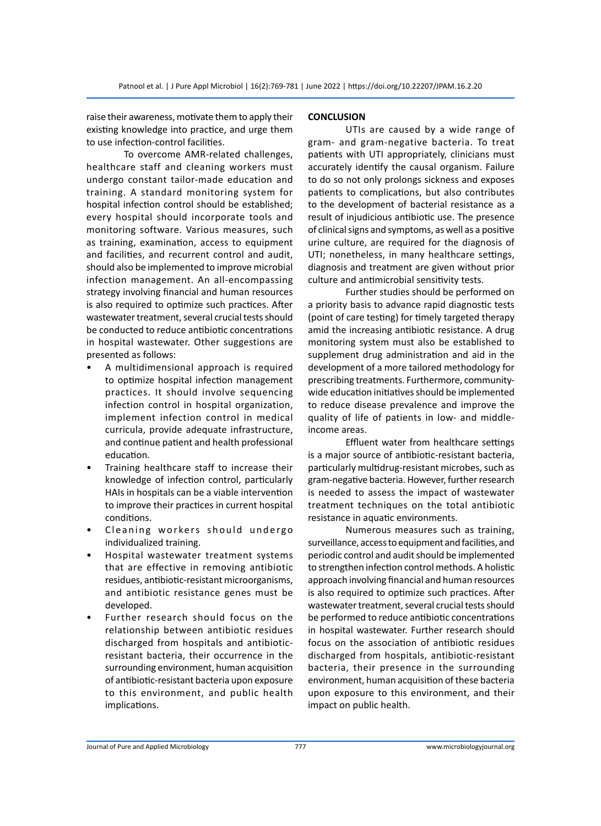raise their awareness, motivate them to apply their existing knowledge into practice, and urge them to use infection-control facilities.

To overcome AMR-related challenges, healthcare staff and cleaning workers must undergo constant tailor-made education and training. A standard monitoring system for hospital infection control should be established; every hospital should incorporate tools and monitoring software. Various measures, such as training, examination, access to equipment and facilities, and recurrent control and audit, should also be implemented to improve microbial infection management. An all-encompassing strategy involving financial and human resources is also required to optimize such practices. After wastewater treatment, several crucial tests should be conducted to reduce antibiotic concentrations in hospital wastewater. Other suggestions are presented as follows:

- A multidimensional approach is required to optimize hospital infection management practices. It should involve sequencing infection control in hospital organization, implement infection control in medical curricula, provide adequate infrastructure, and continue patient and health professional education.
- Training healthcare staff to increase their knowledge of infection control, particularly HAIs in hospitals can be a viable intervention to improve their practices in current hospital conditions.
- Cleaning workers should undergo individualized training.
- Hospital wastewater treatment systems that are effective in removing antibiotic residues, antibiotic-resistant microorganisms, and antibiotic resistance genes must be developed.
- Further research should focus on the relationship between antibiotic residues discharged from hospitals and antibioticresistant bacteria, their occurrence in the surrounding environment, human acquisition of antibiotic-resistant bacteria upon exposure to this environment, and public health implications.

# **CONCLUSION**

UTIs are caused by a wide range of gram- and gram-negative bacteria. To treat patients with UTI appropriately, clinicians must accurately identify the causal organism. Failure to do so not only prolongs sickness and exposes patients to complications, but also contributes to the development of bacterial resistance as a result of injudicious antibiotic use. The presence of clinical signs and symptoms, as well as a positive urine culture, are required for the diagnosis of UTI; nonetheless, in many healthcare settings, diagnosis and treatment are given without prior culture and antimicrobial sensitivity tests.

Further studies should be performed on a priority basis to advance rapid diagnostic tests (point of care testing) for timely targeted therapy amid the increasing antibiotic resistance. A drug monitoring system must also be established to supplement drug administration and aid in the development of a more tailored methodology for prescribing treatments. Furthermore, communitywide education initiatives should be implemented to reduce disease prevalence and improve the quality of life of patients in low- and middleincome areas.

Effluent water from healthcare settings is a major source of antibiotic-resistant bacteria, particularly multidrug-resistant microbes, such as gram-negative bacteria. However, further research is needed to assess the impact of wastewater treatment techniques on the total antibiotic resistance in aquatic environments.

Numerous measures such as training, surveillance, access to equipment and facilities, and periodic control and audit should be implemented to strengthen infection control methods. A holistic approach involving financial and human resources is also required to optimize such practices. After wastewater treatment, several crucial tests should be performed to reduce antibiotic concentrations in hospital wastewater. Further research should focus on the association of antibiotic residues discharged from hospitals, antibiotic-resistant bacteria, their presence in the surrounding environment, human acquisition of these bacteria upon exposure to this environment, and their impact on public health.

Journal of Pure and Applied Microbiology 777 www.microbiologyjournal.org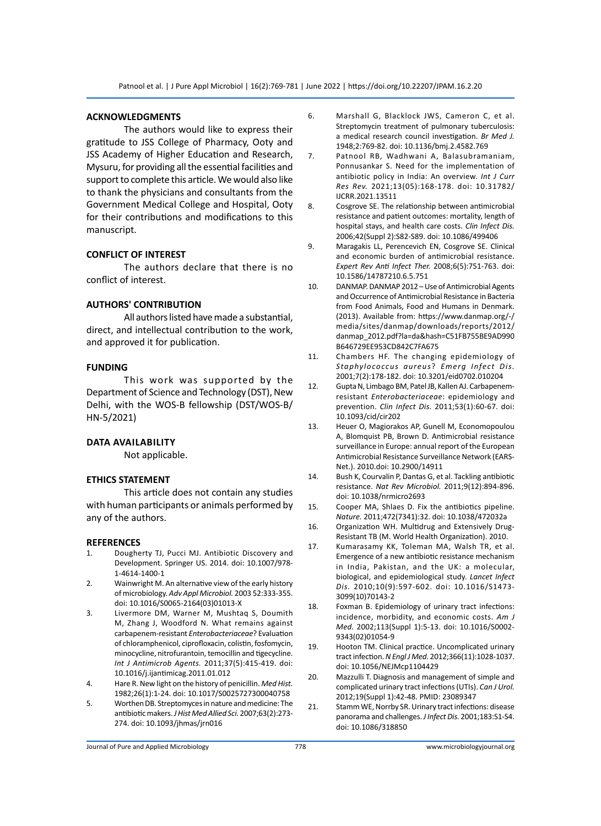## **ACKNOWLEDGMENTS**

The authors would like to express their gratitude to JSS College of Pharmacy, Ooty and JSS Academy of Higher Education and Research, Mysuru, for providing all the essential facilities and support to complete this article. We would also like to thank the physicians and consultants from the Government Medical College and Hospital, Ooty for their contributions and modifications to this manuscript.

# **CONFLICT OF INTEREST**

The authors declare that there is no conflict of interest.

## **AUTHORS' CONTRIBUTION**

All authors listed have made a substantial, direct, and intellectual contribution to the work, and approved it for publication.

# **FUNDING**

This work was supported by the Department of Science and Technology (DST), New Delhi, with the WOS-B fellowship (DST/WOS-B/ HN-5/2021)

## **Data availability**

Not applicable.

## **ETHICS STATEMENT**

This article does not contain any studies with human participants or animals performed by any of the authors.

#### **REFERENCES**

- 1. Dougherty TJ, Pucci MJ. Antibiotic Discovery and Development. Springer US. 2014. doi: 10.1007/978- 1-4614-1400-1
- 2. Wainwright M. An alternative view of the early history of microbiology. *Adv Appl Microbiol.* 2003 52:333-355. doi: 10.1016/S0065-2164(03)01013-X
- 3. Livermore DM, Warner M, Mushtaq S, Doumith M, Zhang J, Woodford N. What remains against carbapenem-resistant *Enterobacteriaceae*? Evaluation of chloramphenicol, ciprofloxacin, colistin, fosfomycin, minocycline, nitrofurantoin, temocillin and tigecycline. *Int J Antimicrob Agents.* 2011;37(5):415-419. doi: 10.1016/j.ijantimicag.2011.01.012
- 4. Hare R. New light on the history of penicillin. *Med Hist.* 1982;26(1):1-24. doi: 10.1017/S0025727300040758
- 5. Worthen DB. Streptomyces in nature and medicine: The antibiotic makers. *J Hist Med Allied Sci.* 2007;63(2):273- 274. doi: 10.1093/jhmas/jrn016
- 6. Marshall G, Blacklock JWS, Cameron C, et al. Streptomycin treatment of pulmonary tuberculosis: a medical research council investigation. *Br Med J.* 1948;2:769-82. doi: 10.1136/bmj.2.4582.769
- 7. Patnool RB, Wadhwani A, Balasubramaniam, Ponnusankar S. Need for the implementation of antibiotic policy in India: An overview. *Int J Curr Res Rev.* 2021;13(05):168-178. doi: 10.31782/ IJCRR.2021.13511
- 8. Cosgrove SE. The relationship between antimicrobial resistance and patient outcomes: mortality, length of hospital stays, and health care costs. *Clin Infect Dis.* 2006;42(Suppl 2):S82-S89. doi: 10.1086/499406
- 9. Maragakis LL, Perencevich EN, Cosgrove SE. Clinical and economic burden of antimicrobial resistance. *Expert Rev Anti Infect Ther.* 2008;6(5):751-763. doi: 10.1586/14787210.6.5.751
- 10. DANMAP. DANMAP 2012 Use of Antimicrobial Agents and Occurrence of Antimicrobial Resistance in Bacteria from Food Animals, Food and Humans in Denmark. (2013). Available from: https://www.danmap.org/-/ media/sites/danmap/downloads/reports/2012/ danmap\_2012.pdf?la=da&hash=C51FB755BE9AD990 B646729EE953CD842C7FA675
- 11. Chambers HF. The changing epidemiology of *Staphylococcus aureus*? *Emerg Infect Dis.* 2001;7(2):178-182. doi: 10.3201/eid0702.010204
- 12. Gupta N, Limbago BM, Patel JB, Kallen AJ. Carbapenemresistant *Enterobacteriaceae*: epidemiology and prevention. *Clin Infect Dis.* 2011;53(1):60-67. doi: 10.1093/cid/cir202
- 13. Heuer O, Magiorakos AP, Gunell M, Economopoulou A, Blomquist PB, Brown D. Antimicrobial resistance surveillance in Europe: annual report of the European Antimicrobial Resistance Surveillance Network (EARS-Net.). 2010.doi: 10.2900/14911
- 14. Bush K, Courvalin P, Dantas G, et al. Tackling antibiotic resistance. *Nat Rev Microbiol.* 2011;9(12):894-896. doi: 10.1038/nrmicro2693
- 15. Cooper MA, Shlaes D. Fix the antibiotics pipeline. *Nature.* 2011;472(7341):32. doi: 10.1038/472032a
- 16. Organization WH. Multidrug and Extensively Drug-Resistant TB (M. World Health Organization). 2010.
- 17. Kumarasamy KK, Toleman MA, Walsh TR, et al. Emergence of a new antibiotic resistance mechanism in India, Pakistan, and the UK: a molecular, biological, and epidemiological study. *Lancet Infect Dis.* 2010;10(9):597-602. doi: 10.1016/S1473- 3099(10)70143-2
- 18. Foxman B. Epidemiology of urinary tract infections: incidence, morbidity, and economic costs. *Am J Med.* 2002;113(Suppl 1):5-13. doi: 10.1016/S0002- 9343(02)01054-9
- 19. Hooton TM. Clinical practice. Uncomplicated urinary tract infection. *N Engl J Med.* 2012;366(11):1028-1037. doi: 10.1056/NEJMcp1104429
- 20. Mazzulli T. Diagnosis and management of simple and complicated urinary tract infections (UTIs). *Can J Urol.* 2012;19(Suppl 1):42-48. PMID: 23089347
- 21. Stamm WE, Norrby SR. Urinary tract infections: disease panorama and challenges. *J Infect Dis.* 2001;183:S1-S4. doi: 10.1086/318850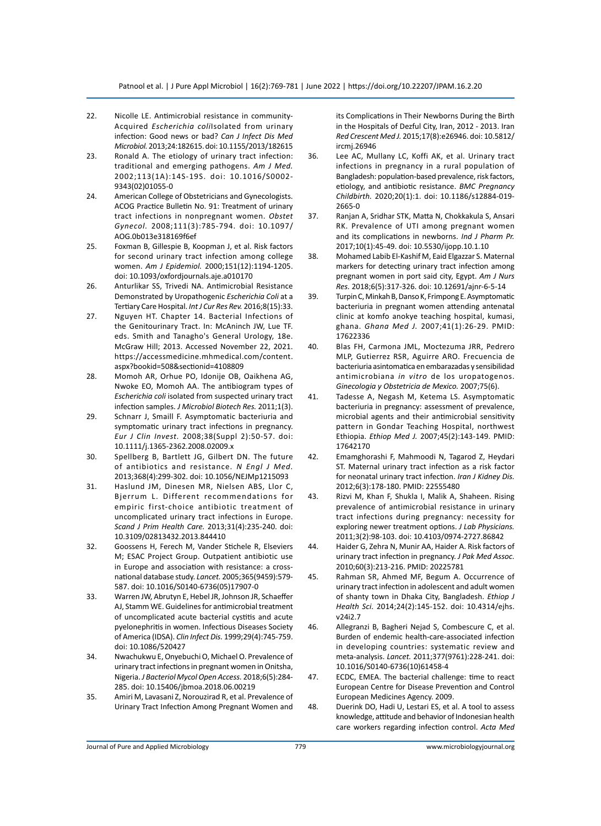- 22. Nicolle LE. Antimicrobial resistance in community-Acquired *Escherichia coli*Isolated from urinary infection: Good news or bad? *Can J Infect Dis Med Microbiol.* 2013;24:182615. doi: 10.1155/2013/182615
- 23. Ronald A. The etiology of urinary tract infection: traditional and emerging pathogens. *Am J Med.* 2002;113(1A):14S-19S. doi: 10.1016/S0002- 9343(02)01055-0
- 24. American College of Obstetricians and Gynecologists. ACOG Practice Bulletin No. 91: Treatment of urinary tract infections in nonpregnant women. *Obstet Gynecol.* 2008;111(3):785-794. doi: 10.1097/ AOG.0b013e318169f6ef
- 25. Foxman B, Gillespie B, Koopman J, et al. Risk factors for second urinary tract infection among college women. *Am J Epidemiol.* 2000;151(12):1194-1205. doi: 10.1093/oxfordjournals.aje.a010170
- 26. Anturlikar SS, Trivedi NA. Antimicrobial Resistance Demonstrated by Uropathogenic *Escherichia Coli* at a Tertiary Care Hospital. *Int J Cur Res Rev.* 2016;8(15):33.
- 27. Nguyen HT. Chapter 14. Bacterial Infections of the Genitourinary Tract. In: McAninch JW, Lue TF. eds. Smith and Tanagho's General Urology, 18e. McGraw Hill; 2013. Accessed November 22, 2021. https://accessmedicine.mhmedical.com/content. aspx?bookid=508&sectionid=4108809
- 28. Momoh AR, Orhue PO, Idonije OB, Oaikhena AG, Nwoke EO, Momoh AA. The antibiogram types of *Escherichia coli* isolated from suspected urinary tract infection samples. *J Microbiol Biotech Res.* 2011;1(3).
- 29. Schnarr J, Smaill F. Asymptomatic bacteriuria and symptomatic urinary tract infections in pregnancy. *Eur J Clin Invest.* 2008;38(Suppl 2):50-57. doi: 10.1111/j.1365-2362.2008.02009.x
- 30. Spellberg B, Bartlett JG, Gilbert DN. The future of antibiotics and resistance. *N Engl J Med.* 2013;368(4):299-302. doi: 10.1056/NEJMp1215093
- 31. Haslund JM, Dinesen MR, Nielsen ABS, Llor C, Bjerrum L. Different recommendations for empiric first-choice antibiotic treatment of uncomplicated urinary tract infections in Europe. *Scand J Prim Health Care.* 2013;31(4):235-240. doi: 10.3109/02813432.2013.844410
- 32. Goossens H, Ferech M, Vander Stichele R, Elseviers M; ESAC Project Group. Outpatient antibiotic use in Europe and association with resistance: a crossnational database study. *Lancet.* 2005;365(9459):579- 587. doi: 10.1016/S0140-6736(05)17907-0
- 33. Warren JW, Abrutyn E, Hebel JR, Johnson JR, Schaeffer AJ, Stamm WE. Guidelines for antimicrobial treatment of uncomplicated acute bacterial cystitis and acute pyelonephritis in women. Infectious Diseases Society of America (IDSA). *Clin Infect Dis.* 1999;29(4):745-759. doi: 10.1086/520427
- 34. Nwachukwu E, Onyebuchi O, Michael O. Prevalence of urinary tract infections in pregnant women in Onitsha, Nigeria. *J Bacteriol Mycol Open Access.* 2018;6(5):284- 285. doi: 10.15406/jbmoa.2018.06.00219
- 35. Amiri M, Lavasani Z, Norouzirad R, et al. Prevalence of Urinary Tract Infection Among Pregnant Women and

its Complications in Their Newborns During the Birth in the Hospitals of Dezful City, Iran, 2012 - 2013. Iran *Red Crescent Med J.* 2015;17(8):e26946. doi: 10.5812/ ircmj.26946

- 36. Lee AC, Mullany LC, Koffi AK, et al. Urinary tract infections in pregnancy in a rural population of Bangladesh: population-based prevalence, risk factors, etiology, and antibiotic resistance. *BMC Pregnancy Childbirth.* 2020;20(1):1. doi: 10.1186/s12884-019- 2665-0
- 37. Ranjan A, Sridhar STK, Matta N, Chokkakula S, Ansari RK. Prevalence of UTI among pregnant women and its complications in newborns. *Ind J Pharm Pr.* 2017;10(1):45-49. doi: 10.5530/ijopp.10.1.10
- 38. Mohamed Labib El-Kashif M, Eaid Elgazzar S. Maternal markers for detecting urinary tract infection among pregnant women in port said city, Egypt. *Am J Nurs Res.* 2018;6(5):317-326. doi: 10.12691/ajnr-6-5-14
- 39. Turpin C, Minkah B, Danso K, Frimpong E. Asymptomatic bacteriuria in pregnant women attending antenatal clinic at komfo anokye teaching hospital, kumasi, ghana. *Ghana Med J.* 2007;41(1):26-29. PMID: 17622336
- 40. Blas FH, Carmona JML, Moctezuma JRR, Pedrero MLP, Gutierrez RSR, Aguirre ARO. Frecuencia de bacteriuria asintomatica en embarazadas y sensibilidad antimicrobiana *in vitro* de los uropatogenos. *Ginecologia y Obstetricia de Mexico.* 2007;75(6).
- 41. Tadesse A, Negash M, Ketema LS. Asymptomatic bacteriuria in pregnancy: assessment of prevalence, microbial agents and their antimicrobial sensitivity pattern in Gondar Teaching Hospital, northwest Ethiopia. *Ethiop Med J.* 2007;45(2):143-149. PMID: 17642170
- 42. Emamghorashi F, Mahmoodi N, Tagarod Z, Heydari ST. Maternal urinary tract infection as a risk factor for neonatal urinary tract infection. *Iran J Kidney Dis.* 2012;6(3):178-180. PMID: 22555480
- 43. Rizvi M, Khan F, Shukla I, Malik A, Shaheen. Rising prevalence of antimicrobial resistance in urinary tract infections during pregnancy: necessity for exploring newer treatment options. *J Lab Physicians.* 2011;3(2):98-103. doi: 10.4103/0974-2727.86842
- 44. Haider G, Zehra N, Munir AA, Haider A. Risk factors of urinary tract infection in pregnancy. *J Pak Med Assoc.* 2010;60(3):213-216. PMID: 20225781
- 45. Rahman SR, Ahmed MF, Begum A. Occurrence of urinary tract infection in adolescent and adult women of shanty town in Dhaka City, Bangladesh. *Ethiop J Health Sci.* 2014;24(2):145-152. doi: 10.4314/ejhs. v24i2.7
- 46. Allegranzi B, Bagheri Nejad S, Combescure C, et al. Burden of endemic health-care-associated infection in developing countries: systematic review and meta-analysis. *Lancet.* 2011;377(9761):228-241. doi: 10.1016/S0140-6736(10)61458-4
- 47. ECDC, EMEA. The bacterial challenge: time to react European Centre for Disease Prevention and Control European Medicines Agency. 2009.
- 48. Duerink DO, Hadi U, Lestari ES, et al. A tool to assess knowledge, attitude and behavior of Indonesian health care workers regarding infection control. *Acta Med*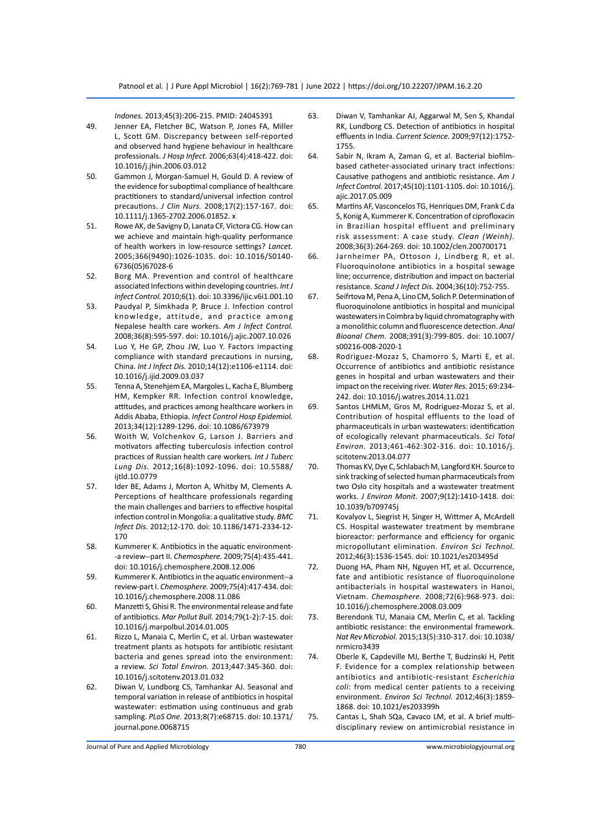*Indones.* 2013;45(3):206-215. PMID: 24045391

- 49. Jenner EA, Fletcher BC, Watson P, Jones FA, Miller L, Scott GM. Discrepancy between self-reported and observed hand hygiene behaviour in healthcare professionals. *J Hosp Infect.* 2006;63(4):418-422. doi: 10.1016/j.jhin.2006.03.012
- 50. Gammon J, Morgan-Samuel H, Gould D. A review of the evidence for suboptimal compliance of healthcare practitioners to standard/universal infection control precautions. *J Clin Nurs.* 2008;17(2):157-167. doi: 10.1111/j.1365-2702.2006.01852. x
- 51. Rowe AK, de Savigny D, Lanata CF, Victora CG. How can we achieve and maintain high-quality performance of health workers in low-resource settings? *Lancet.* 2005;366(9490):1026-1035. doi: 10.1016/S0140- 6736(05)67028-6
- 52. Borg MA. Prevention and control of healthcare associated Infections within developing countries. *Int J Infect Control.* 2010;6(1). doi: 10.3396/ijic.v6i1.001.10
- 53. Paudyal P, Simkhada P, Bruce J. Infection control knowledge, attitude, and practice among Nepalese health care workers. *Am J Infect Control.* 2008;36(8):595-597. doi: 10.1016/j.ajic.2007.10.026
- 54. Luo Y, He GP, Zhou JW, Luo Y. Factors impacting compliance with standard precautions in nursing, China. *Int J Infect Dis.* 2010;14(12):e1106-e1114. doi: 10.1016/j.ijid.2009.03.037
- 55. Tenna A, Stenehjem EA, Margoles L, Kacha E, Blumberg HM, Kempker RR. Infection control knowledge, attitudes, and practices among healthcare workers in Addis Ababa, Ethiopia. *Infect Control Hosp Epidemiol.* 2013;34(12):1289-1296. doi: 10.1086/673979
- 56. Woith W, Volchenkov G, Larson J. Barriers and motivators affecting tuberculosis infection control practices of Russian health care workers. *Int J Tuberc Lung Dis.* 2012;16(8):1092-1096. doi: 10.5588/ iitld.10.0779
- 57. Ider BE, Adams J, Morton A, Whitby M, Clements A. Perceptions of healthcare professionals regarding the main challenges and barriers to effective hospital infection control in Mongolia: a qualitative study. *BMC Infect Dis.* 2012;12-170. doi: 10.1186/1471-2334-12- 170
- 58. Kummerer K. Antibiotics in the aquatic environment- -a review--part II. *Chemosphere.* 2009;75(4):435-441. doi: 10.1016/j.chemosphere.2008.12.006
- 59. Kummerer K. Antibiotics in the aquatic environment--a review-part I. *Chemosphere.* 2009;75(4):417-434. doi: 10.1016/j.chemosphere.2008.11.086
- 60. Manzetti S, Ghisi R. The environmental release and fate of antibiotics. *Mar Pollut Bull.* 2014;79(1-2):7-15. doi: 10.1016/j.marpolbul.2014.01.005
- 61. Rizzo L, Manaia C, Merlin C, et al. Urban wastewater treatment plants as hotspots for antibiotic resistant bacteria and genes spread into the environment: a review. *Sci Total Environ.* 2013;447:345-360. doi: 10.1016/j.scitotenv.2013.01.032
- 62. Diwan V, Lundborg CS, Tamhankar AJ. Seasonal and temporal variation in release of antibiotics in hospital wastewater: estimation using continuous and grab sampling. *PLoS One.* 2013;8(7):e68715. doi: 10.1371/ journal.pone.0068715
- 63. Diwan V, Tamhankar AJ, Aggarwal M, Sen S, Khandal RK, Lundborg CS. Detection of antibiotics in hospital effluents in India. *Current Science.* 2009;97(12):1752- 1755.
- 64. Sabir N, Ikram A, Zaman G, et al. Bacterial biofilmbased catheter-associated urinary tract infections: Causative pathogens and antibiotic resistance. *Am J Infect Control.* 2017;45(10):1101-1105. doi: 10.1016/j. ajic.2017.05.009
- 65. Martins AF, Vasconcelos TG, Henriques DM, Frank C da S, Konig A, Kummerer K. Concentration of ciprofloxacin in Brazilian hospital effluent and preliminary risk assessment: A case study. *Clean (Weinh).*  2008;36(3):264-269. doi: 10.1002/clen.200700171
- 66. Jarnheimer PA, Ottoson J, Lindberg R, et al. Fluoroquinolone antibiotics in a hospital sewage line; occurrence, distribution and impact on bacterial resistance. *Scand J Infect Dis.* 2004;36(10):752-755.
- 67. Seifrtova M, Pena A, Lino CM, Solich P. Determination of fluoroquinolone antibiotics in hospital and municipal wastewaters in Coimbra by liquid chromatography with a monolithic column and fluorescence detection. *Anal Bioanal Chem.* 2008;391(3):799-805. doi: 10.1007/ s00216-008-2020-1
- 68. Rodriguez-Mozaz S, Chamorro S, Marti E, et al. Occurrence of antibiotics and antibiotic resistance genes in hospital and urban wastewaters and their impact on the receiving river. *Water Res.* 2015; 69:234- 242. doi: 10.1016/j.watres.2014.11.021
- 69. Santos LHMLM, Gros M, Rodriguez-Mozaz S, et al. Contribution of hospital effluents to the load of pharmaceuticals in urban wastewaters: identification of ecologically relevant pharmaceuticals. *Sci Total Environ.* 2013;461-462:302-316. doi: 10.1016/j. scitotenv.2013.04.077
- 70. Thomas KV, Dye C, Schlabach M, Langford KH. Source to sink tracking of selected human pharmaceuticals from two Oslo city hospitals and a wastewater treatment works. *J Environ Monit.* 2007;9(12):1410-1418. doi: 10.1039/b709745j
- 71. Kovalyov L, Siegrist H, Singer H, Wittmer A, McArdell CS. Hospital wastewater treatment by membrane bioreactor: performance and efficiency for organic micropollutant elimination. *Environ Sci Technol.*  2012;46(3):1536-1545. doi: 10.1021/es203495d
- 72. Duong HA, Pham NH, Nguyen HT, et al. Occurrence, fate and antibiotic resistance of fluoroquinolone antibacterials in hospital wastewaters in Hanoi, Vietnam. *Chemosphere.* 2008;72(6):968-973. doi: 10.1016/j.chemosphere.2008.03.009
- 73. Berendonk TU, Manaia CM, Merlin C, et al. Tackling antibiotic resistance: the environmental framework. *Nat Rev Microbiol.* 2015;13(5):310-317. doi: 10.1038/ nrmicro3439
- 74. Oberle K, Capdeville MJ, Berthe T, Budzinski H, Petit F. Evidence for a complex relationship between antibiotics and antibiotic-resistant *Escherichia coli*: from medical center patients to a receiving environment. *Environ Sci Technol.* 2012;46(3):1859- 1868. doi: 10.1021/es203399h
- 75. Cantas L, Shah SQa, Cavaco LM, et al. A brief multidisciplinary review on antimicrobial resistance in